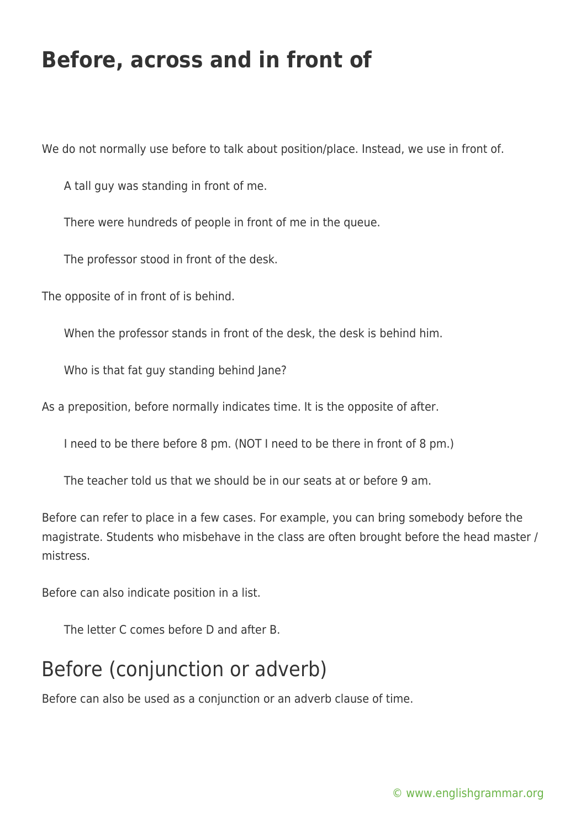## **Before, across and in front of**

We do not normally use before to talk about position/place. Instead, we use in front of.

A tall guy was standing in front of me.

There were hundreds of people in front of me in the queue.

The professor stood in front of the desk.

The opposite of in front of is behind.

When the professor stands in front of the desk, the desk is behind him.

Who is that fat guy standing behind Jane?

As a preposition, before normally indicates time. It is the opposite of after.

I need to be there before 8 pm. (NOT I need to be there in front of 8 pm.)

The teacher told us that we should be in our seats at or before 9 am.

Before can refer to place in a few cases. For example, you can bring somebody before the magistrate. Students who misbehave in the class are often brought before the head master / mistress.

Before can also indicate position in a list.

The letter C comes before D and after B.

## Before (conjunction or adverb)

Before can also be used as a conjunction or an adverb clause of time.